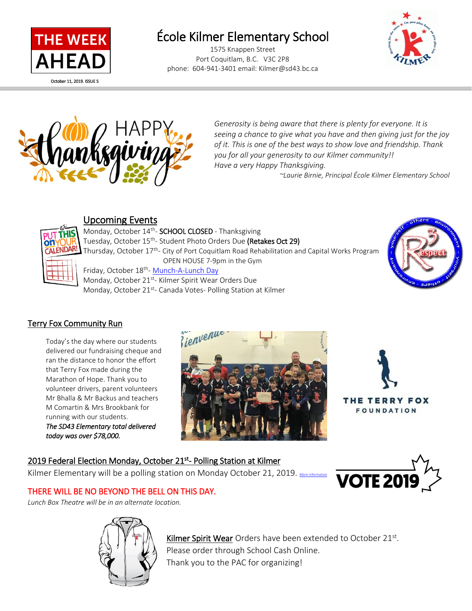

l

# École Kilmer Elementary School

1575 Knappen Street Port Coquitlam, B.C. V3C 2P8 phone: 604-941-3401 email: Kilmer@sd43.bc.ca





*Generosity is being aware that there is plenty for everyone. It is seeing a chance to give what you have and then giving just for the joy of it. This is one of the best ways to show love and friendship. Thank you for all your generosity to our Kilmer community!! Have a very Happy Thanksgiving.* 

 *~Laurie Birnie, Principal École Kilmer Elementary School*



### Upcoming Events

Monday, October 14<sup>th</sup>- **SCHOOL CLOSED** - Thanksgiving Tuesday, October 15<sup>th</sup>- Student Photo Orders Due **(Retakes Oct 29)** Thursday, October 17<sup>th</sup>- City of Port Coquitlam Road Rehabilitation and Capital Works Program OPEN HOUSE 7-9pm in the Gym Friday, October 18<sup>th</sup>- <u>[Munch-A-Lunch Day](http://www.sd43.bc.ca/school/kilmer/Parents/Pages/default.aspx#/=)</u>

Monday, October 21<sup>st</sup>- Kilmer Spirit Wear Orders Due Monday, October 21<sup>st</sup>- Canada Votes- Polling Station at Kilmer



### Terry Fox Community Run

Today's the day where our students delivered our fundraising cheque and ran the distance to honor the effort that Terry Fox made during the Marathon of Hope. Thank you to volunteer drivers, parent volunteers Mr Bhalla & Mr Backus and teachers M Comartin & Mrs Brookbank for running with our students.

*The SD43 Elementary total delivered today was over \$78,000.*





THE TERRY FOX **FOUNDATION** 

### 2019 Federal Election Monday, October 21<sup>st</sup>- Polling Station at Kilmer

Kilmer Elementary will be a polling station on Monday October 21, 2019.  $\underline{\mathsf{M}}$ 



### THERE WILL BE NO BEYOND THE BELL ON THIS DAY.

*Lunch Box Theatre will be in an alternate location.*



Kilmer Spirit Wear Orders have been extended to October 21<sup>st</sup>. Please order through School Cash Online. Thank you to the PAC for organizing!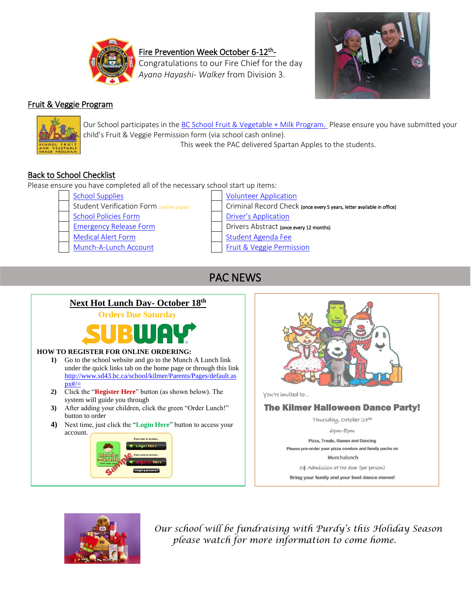

Fire Prevention Week October 6-12<sup>th</sup>-

Congratulations to our Fire Chief for the day *Ayano Hayashi- Walker* from Division 3.



### Fruit & Veggie Program



Our School participates in the [BC School Fruit & Vegetable](https://www.bcaitc.ca/bc-school-fruit-vegetable-nutritional-program) + Milk Program. Please ensure you have submitted your child's Fruit & Veggie Permission form (via school cash online). This week the PAC delivered Spartan Apples to the students.

### Back to School Checklist

Please ensure you have completed all of the necessary school start up items:

- 
- 
- 
- 
- 
- 
- [School Supplies](http://www.sd43.bc.ca/school/kilmer/Parents/SchoolSupplies/Pages/default.aspx#/=) [Volunteer Application](https://www.schoolcashonline.com/) Student Verification Form (yellow paper) | | Criminal Record Check (once every 5 years, letter available in office) [School Policies Form](https://www.schoolcashonline.com/) **[Driver's Application](https://www.schoolcashonline.com/)** [Emergency Release Form](http://www.sd43.bc.ca/Resources/eforms/Type1Diabetes/EmergencyRelease.pdf) **Drivers Abstract** (once every 12 months) [Medical Alert Form](http://www.sd43.bc.ca/Resources/eforms/MApdf/MedicalAlertForm.pdf) [Student Agenda Fee](https://www.schoolcashonline.com/) [Munch-A-Lunch Account](http://www.sd43.bc.ca/school/kilmer/Parents/Pages/default.aspx#/=) [Fruit & Veggie Permission](https://www.schoolcashonline.com/)

# PAC NEWS

### **Next Hot Lunch Day- October 18th**

**Orders Due Saturday**



#### **HOW TO REGISTER FOR ONLINE ORDERING:**

- **1)** Go to the school website and go to the Munch A Lunch link under the quick links tab on the home page or through this link [http://www.sd43.bc.ca/school/kilmer/Parents/Pages/default.as](http://www.sd43.bc.ca/school/kilmer/Parents/Pages/default.aspx#/=)  $px\neq/=$
- **2)** Click the "**Register Here**" button (as shown below). The system will guide you through
- **3)** After adding your children, click the green "Order Lunch!" button to order
- **4)** Next time, just click the "**Login Here**" button to access your account.







*Our school will be fundraising with Purdy's this Holiday Season please watch for more information to come home.*